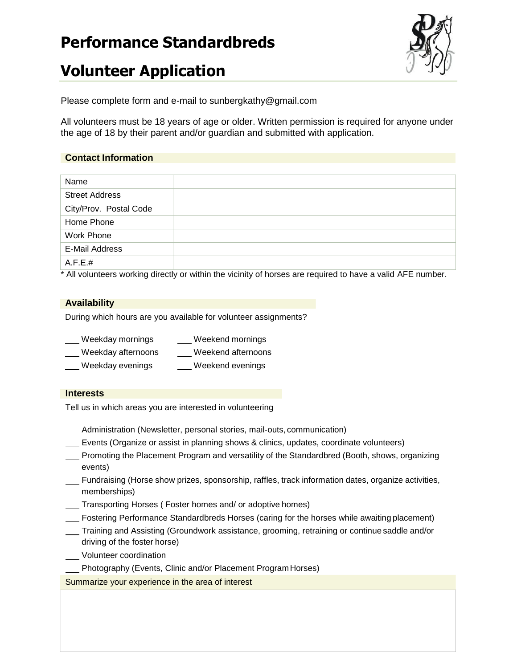# **Performance Standardbreds**



# **Volunteer Application**

Please complete form and e-mail to sunbergkathy@gmail.com

All volunteers must be 18 years of age or older. Written permission is required for anyone under the age of 18 by their parent and/or guardian and submitted with application.

## **Contact Information**

| Name                   |  |
|------------------------|--|
| <b>Street Address</b>  |  |
| City/Prov. Postal Code |  |
| Home Phone             |  |
| <b>Work Phone</b>      |  |
| E-Mail Address         |  |
| A.F.E.#                |  |

\* All volunteers working directly or within the vicinity of horses are required to have a valid AFE number.

### **Availability**

During which hours are you available for volunteer assignments?

| Weekday mornings   | Weekend mornings   |
|--------------------|--------------------|
| Weekday afternoons | Weekend afternoons |
| $\mathbf{M}$       | $1.41 - 1.7$       |

\_ Weekday evenings \_\_\_\_\_ Weekend evenings

#### **Interests**

Tell us in which areas you are interested in volunteering

- Administration (Newsletter, personal stories, mail-outs, communication)
- Events (Organize or assist in planning shows & clinics, updates, coordinate volunteers)
- Promoting the Placement Program and versatility of the Standardbred (Booth, shows, organizing events)
- Fundraising (Horse show prizes, sponsorship, raffles, track information dates, organize activities, memberships)
- Transporting Horses ( Foster homes and/ or adoptive homes)
- Fostering Performance Standardbreds Horses (caring for the horses while awaiting placement)
- Training and Assisting (Groundwork assistance, grooming, retraining or continue saddle and/or driving of the foster horse)
- Volunteer coordination
- Photography (Events, Clinic and/or Placement ProgramHorses)

Summarize your experience in the area of interest